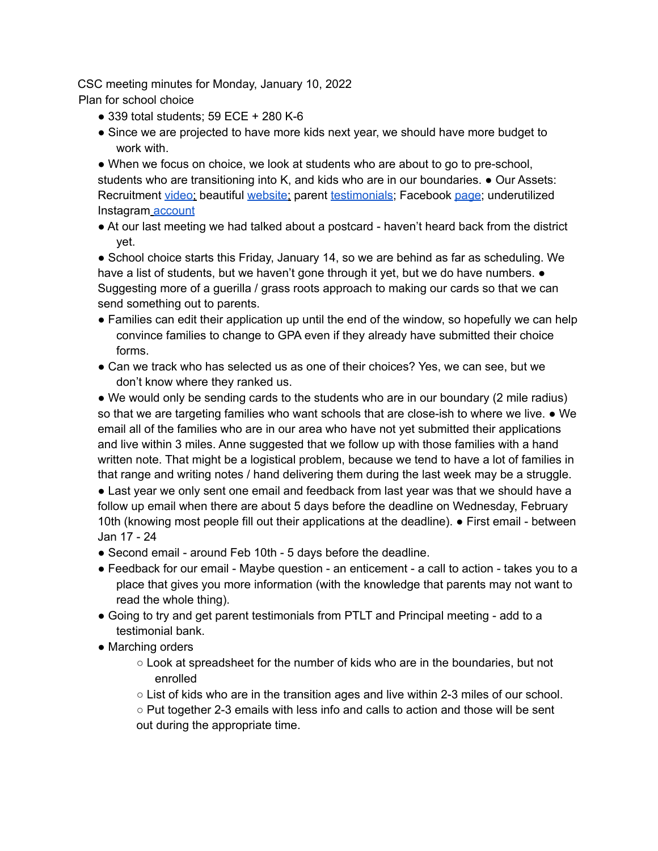CSC meeting minutes for Monday, January 10, 2022

Plan for school choice

- 339 total students; 59 ECE + 280 K-6
- Since we are projected to have more kids next year, we should have more budget to work with.

• When we focus on choice, we look at students who are about to go to pre-school, students who are transitioning into K, and kids who are in our boundaries. ● Our Assets: Recruitment video; beautiful website; parent testimonials; Facebook page; underutilized Instagram account

● At our last meeting we had talked about a postcard - haven't heard back from the district yet.

• School choice starts this Friday, January 14, so we are behind as far as scheduling. We have a list of students, but we haven't gone through it yet, but we do have numbers.  $\bullet$ Suggesting more of a guerilla / grass roots approach to making our cards so that we can send something out to parents.

- Families can edit their application up until the end of the window, so hopefully we can help convince families to change to GPA even if they already have submitted their choice forms.
- Can we track who has selected us as one of their choices? Yes, we can see, but we don't know where they ranked us.

• We would only be sending cards to the students who are in our boundary (2 mile radius) so that we are targeting families who want schools that are close-ish to where we live. • We email all of the families who are in our area who have not yet submitted their applications and live within 3 miles. Anne suggested that we follow up with those families with a hand written note. That might be a logistical problem, because we tend to have a lot of families in that range and writing notes / hand delivering them during the last week may be a struggle.

• Last year we only sent one email and feedback from last year was that we should have a follow up email when there are about 5 days before the deadline on Wednesday, February 10th (knowing most people fill out their applications at the deadline). ● First email - between Jan 17 - 24

- Second email around Feb 10th 5 days before the deadline.
- Feedback for our email Maybe question an enticement a call to action takes you to a place that gives you more information (with the knowledge that parents may not want to read the whole thing).
- Going to try and get parent testimonials from PTLT and Principal meeting add to a testimonial bank.
- Marching orders
	- Look at spreadsheet for the number of kids who are in the boundaries, but not enrolled
	- $\circ$  List of kids who are in the transition ages and live within 2-3 miles of our school.

○ Put together 2-3 emails with less info and calls to action and those will be sent out during the appropriate time.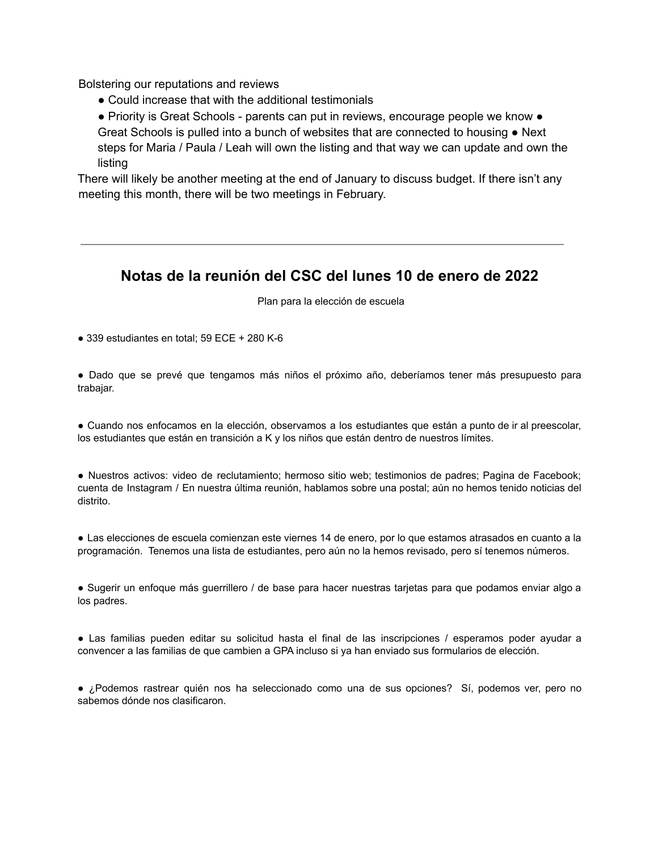Bolstering our reputations and reviews

- Could increase that with the additional testimonials
- Priority is Great Schools parents can put in reviews, encourage people we know Great Schools is pulled into a bunch of websites that are connected to housing  $\bullet$  Next steps for Maria / Paula / Leah will own the listing and that way we can update and own the listing

There will likely be another meeting at the end of January to discuss budget. If there isn't any meeting this month, there will be two meetings in February.

## **Notas de la reunión del CSC del lunes 10 de enero de 2022**

Plan para la elección de escuela

● 339 estudiantes en total; 59 ECE + 280 K-6

● Dado que se prevé que tengamos más niños el próximo año, deberíamos tener más presupuesto para trabajar.

● Cuando nos enfocamos en la elección, observamos a los estudiantes que están a punto de ir al preescolar, los estudiantes que están en transición a K y los niños que están dentro de nuestros límites.

● Nuestros activos: video de reclutamiento; hermoso sitio web; testimonios de padres; Pagina de Facebook; cuenta de Instagram / En nuestra última reunión, hablamos sobre una postal; aún no hemos tenido noticias del distrito.

● Las elecciones de escuela comienzan este viernes 14 de enero, por lo que estamos atrasados en cuanto a la programación. Tenemos una lista de estudiantes, pero aún no la hemos revisado, pero sí tenemos números.

● Sugerir un enfoque más guerrillero / de base para hacer nuestras tarjetas para que podamos enviar algo a los padres.

● Las familias pueden editar su solicitud hasta el final de las inscripciones / esperamos poder ayudar a convencer a las familias de que cambien a GPA incluso si ya han enviado sus formularios de elección.

● ¿Podemos rastrear quién nos ha seleccionado como una de sus opciones? Sí, podemos ver, pero no sabemos dónde nos clasificaron.